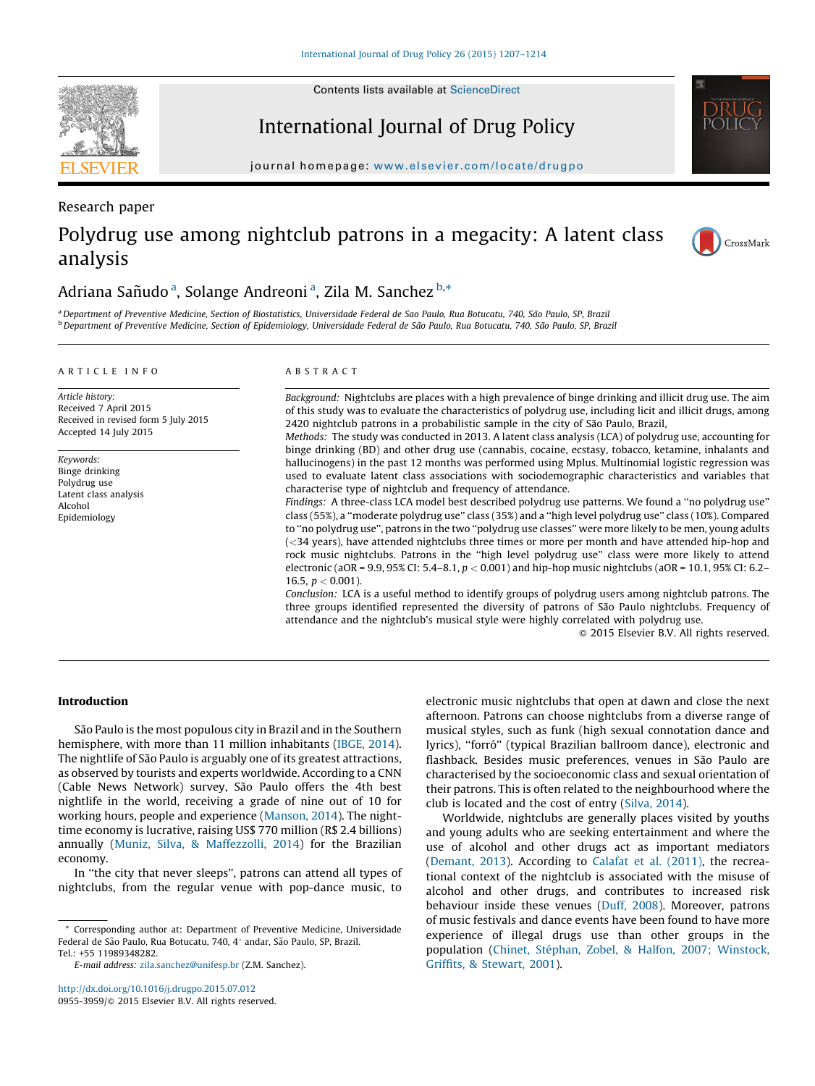Contents lists available at [ScienceDirect](http://www.sciencedirect.com/science/journal/09553959)



International Journal of Drug Policy

journal homepage: www.elsevier.com/locate/drugpo

# Research paper

# Polydrug use among nightclub patrons in a megacity: A latent class analysis



# Adriana Sañudo <sup>a</sup>, Solange Andreoni <sup>a</sup>, Zila M. Sanchez <sup>b,</sup>\*

<sup>a</sup> Department of Preventive Medicine, Section of Biostatistics, Universidade Federal de Sao Paulo, Rua Botucatu, 740, São Paulo, SP, Brazil <sup>b</sup> Department of Preventive Medicine, Section of Epidemiology, Universidade Federal de São Paulo, Rua Botucatu, 740, São Paulo, SP, Brazil

#### A R T I C L E I N F O

Article history: Received 7 April 2015 Received in revised form 5 July 2015 Accepted 14 July 2015

Keywords: Binge drinking Polydrug use Latent class analysis Alcohol Epidemiology

#### A B S T R A C T

Background: Nightclubs are places with a high prevalence of binge drinking and illicit drug use. The aim of this study was to evaluate the characteristics of polydrug use, including licit and illicit drugs, among 2420 nightclub patrons in a probabilistic sample in the city of São Paulo, Brazil,

Methods: The study was conducted in 2013. A latent class analysis (LCA) of polydrug use, accounting for binge drinking (BD) and other drug use (cannabis, cocaine, ecstasy, tobacco, ketamine, inhalants and hallucinogens) in the past 12 months was performed using Mplus. Multinomial logistic regression was used to evaluate latent class associations with sociodemographic characteristics and variables that characterise type of nightclub and frequency of attendance.

Findings: A three-class LCA model best described polydrug use patterns. We found a ''no polydrug use'' class (55%), a ''moderate polydrug use'' class (35%) and a ''high level polydrug use'' class (10%). Compared to ''no polydrug use'', patrons in the two ''polydrug use classes'' were more likely to be men, young adults (<34 years), have attended nightclubs three times or more per month and have attended hip-hop and rock music nightclubs. Patrons in the ''high level polydrug use'' class were more likely to attend electronic (aOR = 9.9, 95% CI: 5.4–8.1,  $p < 0.001$ ) and hip-hop music nightclubs (aOR = 10.1, 95% CI: 6.2– 16.5,  $p < 0.001$ ).

Conclusion: LCA is a useful method to identify groups of polydrug users among nightclub patrons. The three groups identified represented the diversity of patrons of São Paulo nightclubs. Frequency of attendance and the nightclub's musical style were highly correlated with polydrug use.

- 2015 Elsevier B.V. All rights reserved.

## Introduction

São Paulo is the most populous city in Brazil and in the Southern hemisphere, with more than 11 million inhabitants ([IBGE,](#page-7-0) 2014). The nightlife of São Paulo is arguably one of its greatest attractions, as observed by tourists and experts worldwide. According to a CNN (Cable News Network) survey, São Paulo offers the 4th best nightlife in the world, receiving a grade of nine out of 10 for working hours, people and experience [\(Manson,](#page-7-0) 2014). The nighttime economy is lucrative, raising US\$ 770 million (R\$ 2.4 billions) annually (Muniz, Silva, & [Maffezzolli,](#page-7-0) 2014) for the Brazilian economy.

In ''the city that never sleeps'', patrons can attend all types of nightclubs, from the regular venue with pop-dance music, to

<http://dx.doi.org/10.1016/j.drugpo.2015.07.012> 0955-3959/© 2015 Elsevier B.V. All rights reserved. electronic music nightclubs that open at dawn and close the next afternoon. Patrons can choose nightclubs from a diverse range of musical styles, such as funk (high sexual connotation dance and lyrics), "forró" (typical Brazilian ballroom dance), electronic and flashback. Besides music preferences, venues in São Paulo are characterised by the socioeconomic class and sexual orientation of their patrons. This is often related to the neighbourhood where the club is located and the cost of entry ([Silva,](#page-7-0) 2014).

Worldwide, nightclubs are generally places visited by youths and young adults who are seeking entertainment and where the use of alcohol and other drugs act as important mediators ([Demant,](#page-6-0) 2013). According to [Calafat](#page-6-0) et al. (2011), the recreational context of the nightclub is associated with the misuse of alcohol and other drugs, and contributes to increased risk behaviour inside these venues (Duff, [2008](#page-6-0)). Moreover, patrons of music festivals and dance events have been found to have more experience of illegal drugs use than other groups in the population (Chinet, Stéphan, Zobel, & Halfon, 2007; [Winstock,](#page-6-0) Griffits, & [Stewart,](#page-6-0) 2001).

Corresponding author at: Department of Preventive Medicine, Universidade Federal de São Paulo, Rua Botucatu, 740, 4° andar, São Paulo, SP, Brazil. Tel: +55 11989348282.

E-mail address: [zila.sanchez@unifesp.br](mailto:zila.sanchez@unifesp.br) (Z.M. Sanchez).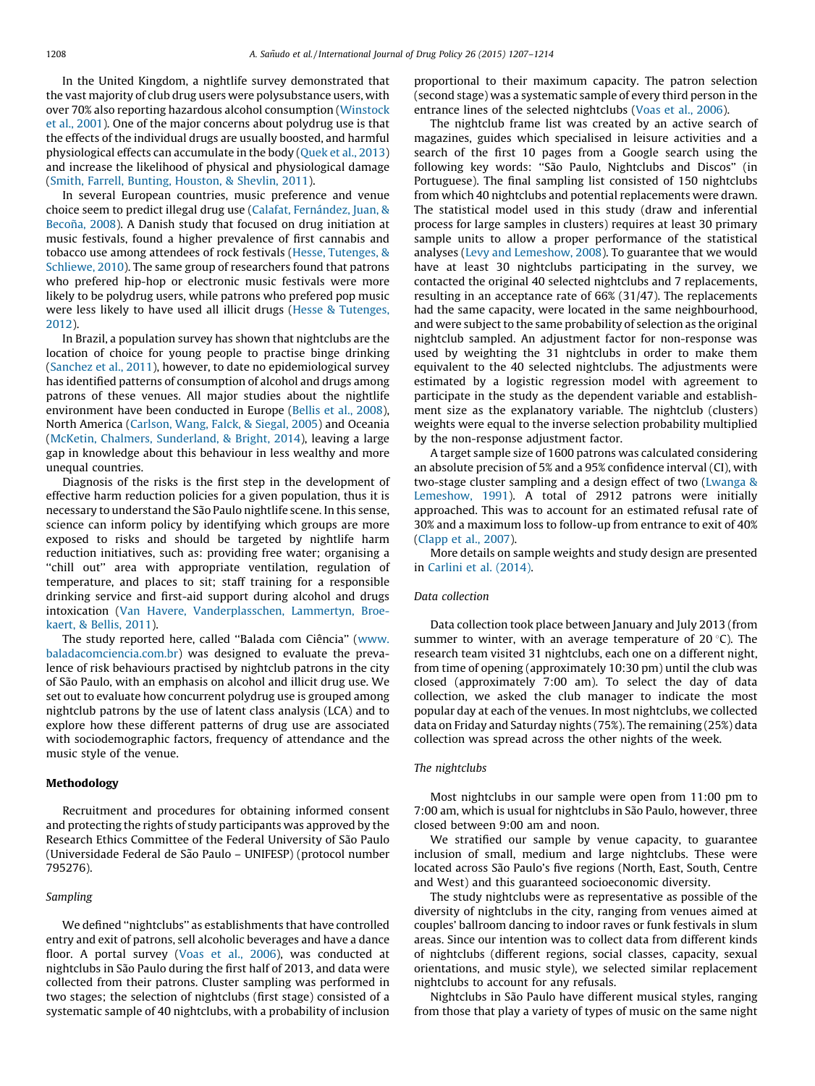In the United Kingdom, a nightlife survey demonstrated that the vast majority of club drug users were polysubstance users, with over 70% also reporting hazardous alcohol consumption ([Winstock](#page-7-0) et al., [2001](#page-7-0)). One of the major concerns about polydrug use is that the effects of the individual drugs are usually boosted, and harmful physiological effects can accumulate in the body ([Quek](#page-7-0) et al., 2013) and increase the likelihood of physical and physiological damage (Smith, Farrell, Bunting, [Houston,](#page-7-0) & Shevlin, 2011).

In several European countries, music preference and venue choice seem to predict illegal drug use (Calafat, Fernández, Juan, & Becoña, 2008). A Danish study that focused on drug initiation at music festivals, found a higher prevalence of first cannabis and tobacco use among attendees of rock festivals (Hesse, [Tutenges,](#page-6-0) & [Schliewe,](#page-6-0) 2010). The same group of researchers found that patrons who prefered hip-hop or electronic music festivals were more likely to be polydrug users, while patrons who prefered pop music were less likely to have used all illicit drugs (Hesse & [Tutenges,](#page-6-0) [2012\)](#page-6-0).

In Brazil, a population survey has shown that nightclubs are the location of choice for young people to practise binge drinking ([Sanchez](#page-7-0) et al., 2011), however, to date no epidemiological survey has identified patterns of consumption of alcohol and drugs among patrons of these venues. All major studies about the nightlife environment have been conducted in Europe ([Bellis](#page-6-0) et al., 2008), North America [\(Carlson,](#page-6-0) Wang, Falck, & Siegal, 2005) and Oceania (McKetin, Chalmers, [Sunderland,](#page-7-0) & Bright, 2014), leaving a large gap in knowledge about this behaviour in less wealthy and more unequal countries.

Diagnosis of the risks is the first step in the development of effective harm reduction policies for a given population, thus it is necessary to understand the São Paulo nightlife scene. In this sense, science can inform policy by identifying which groups are more exposed to risks and should be targeted by nightlife harm reduction initiatives, such as: providing free water; organising a ''chill out'' area with appropriate ventilation, regulation of temperature, and places to sit; staff training for a responsible drinking service and first-aid support during alcohol and drugs intoxication (Van Havere, [Vanderplasschen,](#page-7-0) Lammertyn, Broekaert, & [Bellis,](#page-7-0) 2011).

The study reported here, called "Balada com Ciência" ([www.](http://www.baladacomciencia.com.br/) [baladacomciencia.com.br](http://www.baladacomciencia.com.br/)) was designed to evaluate the prevalence of risk behaviours practised by nightclub patrons in the city of São Paulo, with an emphasis on alcohol and illicit drug use. We set out to evaluate how concurrent polydrug use is grouped among nightclub patrons by the use of latent class analysis (LCA) and to explore how these different patterns of drug use are associated with sociodemographic factors, frequency of attendance and the music style of the venue.

#### Methodology

Recruitment and procedures for obtaining informed consent and protecting the rights of study participants was approved by the Research Ethics Committee of the Federal University of São Paulo (Universidade Federal de São Paulo - UNIFESP) (protocol number 795276).

#### Sampling

We defined ''nightclubs'' as establishments that have controlled entry and exit of patrons, sell alcoholic beverages and have a dance floor. A portal survey (Voas et al., [2006\)](#page-7-0), was conducted at nightclubs in São Paulo during the first half of 2013, and data were collected from their patrons. Cluster sampling was performed in two stages; the selection of nightclubs (first stage) consisted of a systematic sample of 40 nightclubs, with a probability of inclusion proportional to their maximum capacity. The patron selection (second stage) was a systematic sample of every third person in the entrance lines of the selected nightclubs (Voas et al., [2006\)](#page-7-0).

The nightclub frame list was created by an active search of magazines, guides which specialised in leisure activities and a search of the first 10 pages from a Google search using the following key words: "São Paulo, Nightclubs and Discos" (in Portuguese). The final sampling list consisted of 150 nightclubs from which 40 nightclubs and potential replacements were drawn. The statistical model used in this study (draw and inferential process for large samples in clusters) requires at least 30 primary sample units to allow a proper performance of the statistical analyses (Levy and [Lemeshow,](#page-7-0) 2008). To guarantee that we would have at least 30 nightclubs participating in the survey, we contacted the original 40 selected nightclubs and 7 replacements, resulting in an acceptance rate of 66% (31/47). The replacements had the same capacity, were located in the same neighbourhood, and were subject to the same probability of selection as the original nightclub sampled. An adjustment factor for non-response was used by weighting the 31 nightclubs in order to make them equivalent to the 40 selected nightclubs. The adjustments were estimated by a logistic regression model with agreement to participate in the study as the dependent variable and establishment size as the explanatory variable. The nightclub (clusters) weights were equal to the inverse selection probability multiplied by the non-response adjustment factor.

A target sample size of 1600 patrons was calculated considering an absolute precision of 5% and a 95% confidence interval (CI), with two-stage cluster sampling and a design effect of two [\(Lwanga](#page-7-0) & [Lemeshow,](#page-7-0) 1991). A total of 2912 patrons were initially approached. This was to account for an estimated refusal rate of 30% and a maximum loss to follow-up from entrance to exit of 40% ([Clapp](#page-6-0) et al., 2007).

More details on sample weights and study design are presented in Carlini et al. [\(2014\)](#page-6-0).

#### Data collection

Data collection took place between January and July 2013 (from summer to winter, with an average temperature of  $20^{\circ}$ C). The research team visited 31 nightclubs, each one on a different night, from time of opening (approximately 10:30 pm) until the club was closed (approximately 7:00 am). To select the day of data collection, we asked the club manager to indicate the most popular day at each of the venues. In most nightclubs, we collected data on Friday and Saturday nights (75%). The remaining (25%) data collection was spread across the other nights of the week.

#### The nightclubs

Most nightclubs in our sample were open from 11:00 pm to 7:00 am, which is usual for nightclubs in São Paulo, however, three closed between 9:00 am and noon.

We stratified our sample by venue capacity, to guarantee inclusion of small, medium and large nightclubs. These were located across São Paulo's five regions (North, East, South, Centre and West) and this guaranteed socioeconomic diversity.

The study nightclubs were as representative as possible of the diversity of nightclubs in the city, ranging from venues aimed at couples' ballroom dancing to indoor raves or funk festivals in slum areas. Since our intention was to collect data from different kinds of nightclubs (different regions, social classes, capacity, sexual orientations, and music style), we selected similar replacement nightclubs to account for any refusals.

Nightclubs in São Paulo have different musical styles, ranging from those that play a variety of types of music on the same night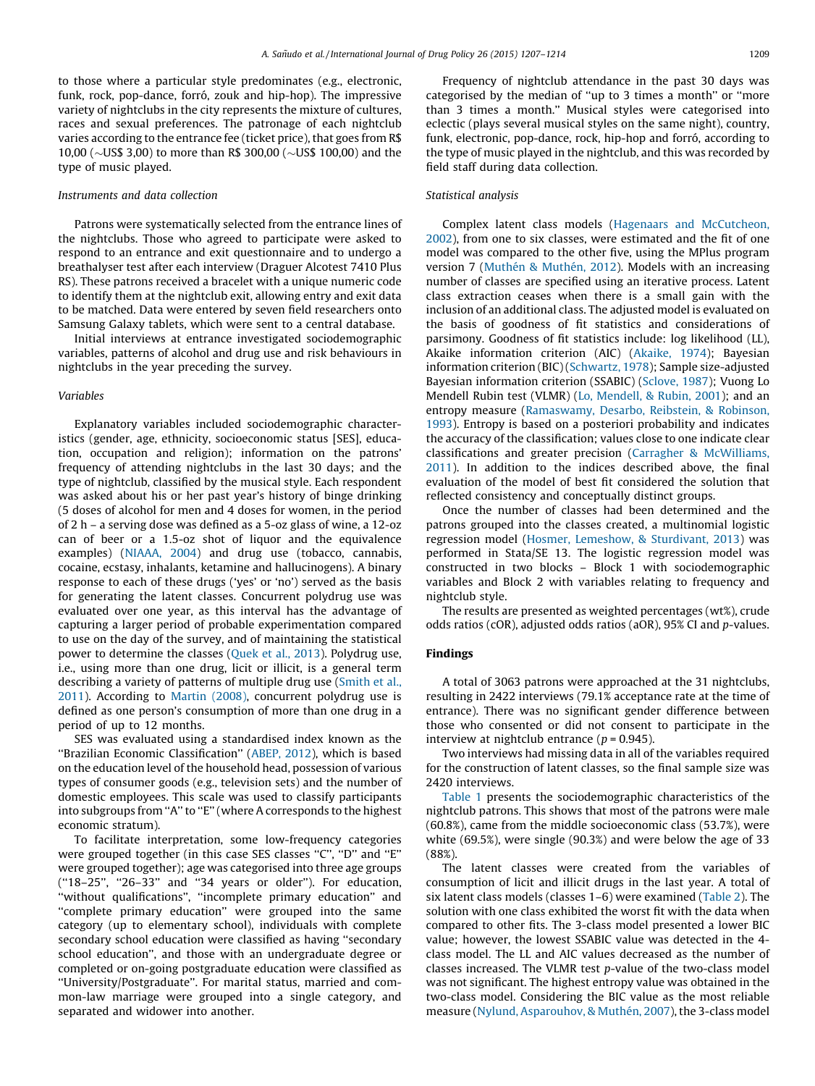to those where a particular style predominates (e.g., electronic, funk, rock, pop-dance, forró, zouk and hip-hop). The impressive variety of nightclubs in the city represents the mixture of cultures, races and sexual preferences. The patronage of each nightclub varies according to the entrance fee (ticket price), that goes from R\$ 10,00 ( $\sim$ US\$ 3,00) to more than R\$ 300,00 ( $\sim$ US\$ 100,00) and the type of music played.

#### Instruments and data collection

Patrons were systematically selected from the entrance lines of the nightclubs. Those who agreed to participate were asked to respond to an entrance and exit questionnaire and to undergo a breathalyser test after each interview (Draguer Alcotest 7410 Plus RS). These patrons received a bracelet with a unique numeric code to identify them at the nightclub exit, allowing entry and exit data to be matched. Data were entered by seven field researchers onto Samsung Galaxy tablets, which were sent to a central database.

Initial interviews at entrance investigated sociodemographic variables, patterns of alcohol and drug use and risk behaviours in nightclubs in the year preceding the survey.

#### Variables

Explanatory variables included sociodemographic characteristics (gender, age, ethnicity, socioeconomic status [SES], education, occupation and religion); information on the patrons' frequency of attending nightclubs in the last 30 days; and the type of nightclub, classified by the musical style. Each respondent was asked about his or her past year's history of binge drinking (5 doses of alcohol for men and 4 doses for women, in the period of 2 h – a serving dose was defined as a 5-oz glass of wine, a 12-oz can of beer or a 1.5-oz shot of liquor and the equivalence examples) [\(NIAAA,](#page-7-0) 2004) and drug use (tobacco, cannabis, cocaine, ecstasy, inhalants, ketamine and hallucinogens). A binary response to each of these drugs ('yes' or 'no') served as the basis for generating the latent classes. Concurrent polydrug use was evaluated over one year, as this interval has the advantage of capturing a larger period of probable experimentation compared to use on the day of the survey, and of maintaining the statistical power to determine the classes [\(Quek](#page-7-0) et al., 2013). Polydrug use, i.e., using more than one drug, licit or illicit, is a general term describing a variety of patterns of multiple drug use [\(Smith](#page-7-0) et al., [2011\)](#page-7-0). According to [Martin](#page-7-0) (2008), concurrent polydrug use is defined as one person's consumption of more than one drug in a period of up to 12 months.

SES was evaluated using a standardised index known as the "Brazilian Economic Classification" ([ABEP,](#page-6-0) 2012), which is based on the education level of the household head, possession of various types of consumer goods (e.g., television sets) and the number of domestic employees. This scale was used to classify participants into subgroups from "A" to "E" (where A corresponds to the highest economic stratum).

To facilitate interpretation, some low-frequency categories were grouped together (in this case SES classes "C", "D" and "E" were grouped together); age was categorised into three age groups (''18–25'', ''26–33'' and ''34 years or older''). For education, ''without qualifications'', ''incomplete primary education'' and ''complete primary education'' were grouped into the same category (up to elementary school), individuals with complete secondary school education were classified as having ''secondary school education'', and those with an undergraduate degree or completed or on-going postgraduate education were classified as ''University/Postgraduate''. For marital status, married and common-law marriage were grouped into a single category, and separated and widower into another.

Frequency of nightclub attendance in the past 30 days was categorised by the median of ''up to 3 times a month'' or ''more than 3 times a month.'' Musical styles were categorised into eclectic (plays several musical styles on the same night), country, funk, electronic, pop-dance, rock, hip-hop and forró, according to the type of music played in the nightclub, and this was recorded by field staff during data collection.

#### Statistical analysis

Complex latent class models (Hagenaars and [McCutcheon,](#page-6-0) [2002\)](#page-6-0), from one to six classes, were estimated and the fit of one model was compared to the other five, using the MPlus program version 7 (Muthén & Muthén, 2012). Models with an increasing number of classes are specified using an iterative process. Latent class extraction ceases when there is a small gain with the inclusion of an additional class. The adjusted model is evaluated on the basis of goodness of fit statistics and considerations of parsimony. Goodness of fit statistics include: log likelihood (LL), Akaike information criterion (AIC) [\(Akaike,](#page-6-0) 1974); Bayesian information criterion (BIC) [\(Schwartz,](#page-7-0) 1978); Sample size-adjusted Bayesian information criterion (SSABIC) ([Sclove,](#page-7-0) 1987); Vuong Lo Mendell Rubin test (VLMR) (Lo, [Mendell,](#page-7-0) & Rubin, 2001); and an entropy measure [\(Ramaswamy,](#page-7-0) Desarbo, Reibstein, & Robinson, [1993\)](#page-7-0). Entropy is based on a posteriori probability and indicates the accuracy of the classification; values close to one indicate clear classifications and greater precision (Carragher & [McWilliams,](#page-6-0) [2011\)](#page-6-0). In addition to the indices described above, the final evaluation of the model of best fit considered the solution that reflected consistency and conceptually distinct groups.

Once the number of classes had been determined and the patrons grouped into the classes created, a multinomial logistic regression model (Hosmer, [Lemeshow,](#page-7-0) & Sturdivant, 2013) was performed in Stata/SE 13. The logistic regression model was constructed in two blocks – Block 1 with sociodemographic variables and Block 2 with variables relating to frequency and nightclub style.

The results are presented as weighted percentages (wt%), crude odds ratios (cOR), adjusted odds ratios (aOR), 95% CI and p-values.

#### Findings

A total of 3063 patrons were approached at the 31 nightclubs, resulting in 2422 interviews (79.1% acceptance rate at the time of entrance). There was no significant gender difference between those who consented or did not consent to participate in the interview at nightclub entrance ( $p = 0.945$ ).

Two interviews had missing data in all of the variables required for the construction of latent classes, so the final sample size was 2420 interviews.

[Table](#page-3-0) 1 presents the sociodemographic characteristics of the nightclub patrons. This shows that most of the patrons were male (60.8%), came from the middle socioeconomic class (53.7%), were white (69.5%), were single (90.3%) and were below the age of 33 (88%).

The latent classes were created from the variables of consumption of licit and illicit drugs in the last year. A total of six latent class models (classes 1–6) were examined ([Table](#page-3-0) 2). The solution with one class exhibited the worst fit with the data when compared to other fits. The 3-class model presented a lower BIC value; however, the lowest SSABIC value was detected in the 4 class model. The LL and AIC values decreased as the number of classes increased. The VLMR test p-value of the two-class model was not significant. The highest entropy value was obtained in the two-class model. Considering the BIC value as the most reliable measure (Nylund, [Asparouhov,](#page-7-0) & Muthén, 2007), the 3-class model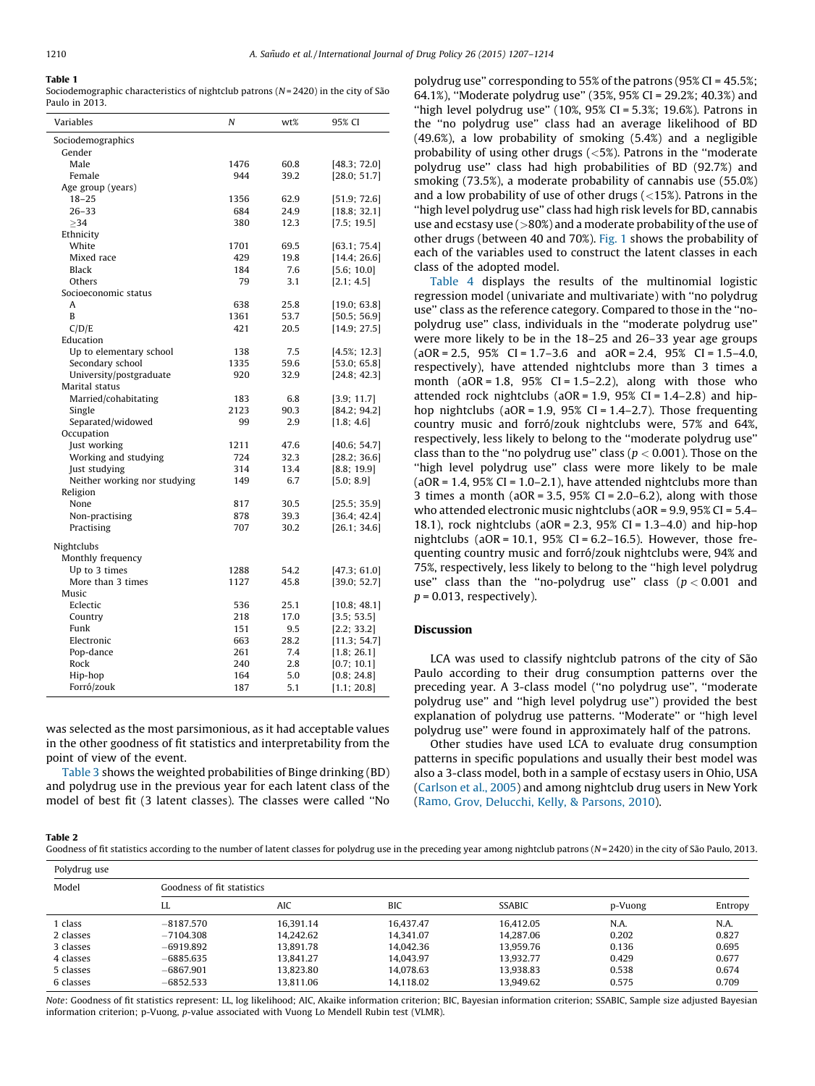# <span id="page-3-0"></span>Table 1

Sociodemographic characteristics of nightclub patrons ( $N=$  2420) in the city of São Paulo in 2013.

| Variables                                 | Ν    | wt%         | 95% CI                      |
|-------------------------------------------|------|-------------|-----------------------------|
| Sociodemographics                         |      |             |                             |
| Gender                                    |      |             |                             |
| Male                                      | 1476 | 60.8        | [48.3; 72.0]                |
| Female                                    | 944  | 39.2        | [28.0; 51.7]                |
| Age group (years)                         |      |             |                             |
| $18 - 25$                                 | 1356 | 62.9        | [51.9; 72.6]                |
| $26 - 33$                                 | 684  | 24.9        | [18.8; 32.1]                |
| >34                                       | 380  | 12.3        | [7.5; 19.5]                 |
| Ethnicity                                 |      |             |                             |
| White                                     | 1701 | 69.5        | [63.1; 75.4]                |
| Mixed race                                | 429  | 19.8        | [14.4; 26.6]                |
| Black                                     | 184  | 7.6         | [5.6; 10.0]                 |
| Others                                    | 79   | 3.1         | [2.1; 4.5]                  |
| Socioeconomic status                      |      |             |                             |
| A                                         | 638  | 25.8        | [19.0; 63.8]                |
| B                                         | 1361 | 53.7        | [50.5; 56.9]                |
| C/D/E                                     | 421  | 20.5        | [14.9; 27.5]                |
| Education                                 |      |             |                             |
| Up to elementary school                   | 138  | 7.5         | $[4.5\%; 12.3]$             |
| Secondary school                          | 1335 | 59.6        | [53.0; 65.8]                |
|                                           | 920  | 32.9        |                             |
| University/postgraduate<br>Marital status |      |             | [24.8; 42.3]                |
|                                           | 183  |             |                             |
| Married/cohabitating                      | 2123 | 6.8<br>90.3 | [3.9; 11.7]                 |
| Single                                    |      |             | [84.2; 94.2]                |
| Separated/widowed                         | 99   | 2.9         | [1.8; 4.6]                  |
| Occupation                                |      |             |                             |
| Just working                              | 1211 | 47.6        | [40.6; 54.7]                |
| Working and studying                      | 724  | 32.3        | [28.2; 36.6]                |
| Just studying                             | 314  | 13.4        | [8.8; 19.9]                 |
| Neither working nor studying              | 149  | 6.7         | [5.0; 8.9]                  |
| Religion                                  |      |             |                             |
| None                                      | 817  | 30.5        | [25.5; 35.9]                |
| Non-practising                            | 878  | 39.3        | [36.4; 42.4]                |
| Practising                                | 707  | 30.2        | [26.1; 34.6]                |
| Nightclubs                                |      |             |                             |
| Monthly frequency                         |      |             |                             |
| Up to 3 times                             | 1288 | 54.2        | [47.3; 61.0]                |
| More than 3 times                         | 1127 | 45.8        | [39.0; 52.7]                |
| Music                                     |      |             |                             |
| Eclectic                                  | 536  | 25.1        | [10.8; 48.1]                |
| Country                                   | 218  | 17.0        | [3.5; 53.5]                 |
| Funk                                      | 151  | 9.5         | [2.2; 33.2]                 |
| Electronic                                |      | 28.2        |                             |
|                                           | 663  |             | [11.3; 54.7]<br>[1.8; 26.1] |
| Pop-dance                                 | 261  | 7.4         |                             |
| Rock                                      | 240  | 2.8         | [0.7; 10.1]                 |
| Hip-hop                                   | 164  | 5.0         | [0.8; 24.8]                 |
| Forró/zouk                                | 187  | 5.1         | [1.1; 20.8]                 |

was selected as the most parsimonious, as it had acceptable values in the other goodness of fit statistics and interpretability from the point of view of the event.

[Table](#page-4-0) 3 shows the weighted probabilities of Binge drinking (BD) and polydrug use in the previous year for each latent class of the model of best fit (3 latent classes). The classes were called ''No polydrug use'' corresponding to 55% of the patrons (95% CI = 45.5%; 64.1%), ''Moderate polydrug use'' (35%, 95% CI = 29.2%; 40.3%) and ''high level polydrug use'' (10%, 95% CI = 5.3%; 19.6%). Patrons in the ''no polydrug use'' class had an average likelihood of BD (49.6%), a low probability of smoking (5.4%) and a negligible probability of using other drugs (<5%). Patrons in the ''moderate polydrug use'' class had high probabilities of BD (92.7%) and smoking (73.5%), a moderate probability of cannabis use (55.0%) and a low probability of use of other drugs  $\left($  < 15%). Patrons in the ''high level polydrug use'' class had high risk levels for BD, cannabis use and ecstasy use  $(>80\%)$  and a moderate probability of the use of other drugs (between 40 and 70%). [Fig.](#page-4-0) 1 shows the probability of each of the variables used to construct the latent classes in each class of the adopted model.

[Table](#page-5-0) 4 displays the results of the multinomial logistic regression model (univariate and multivariate) with ''no polydrug use'' class as the reference category. Compared to those in the ''nopolydrug use'' class, individuals in the ''moderate polydrug use'' were more likely to be in the 18–25 and 26–33 year age groups  $(aOR = 2.5, 95\% \text{ CI} = 1.7 - 3.6 \text{ and } aOR = 2.4, 95\% \text{ CI} = 1.5 - 4.0,$ respectively), have attended nightclubs more than 3 times a month ( $aOR = 1.8$ ,  $95\%$  CI = 1.5–2.2), along with those who attended rock nightclubs ( $aOR = 1.9$ ,  $95\%$  CI =  $1.4-2.8$ ) and hiphop nightclubs (aOR = 1.9, 95% CI = 1.4-2.7). Those frequenting country music and forró/zouk nightclubs were, 57% and 64%, respectively, less likely to belong to the ''moderate polydrug use'' class than to the "no polydrug use" class ( $p < 0.001$ ). Those on the ''high level polydrug use'' class were more likely to be male  $(aOR = 1.4, 95\% CI = 1.0 - 2.1)$ , have attended nightclubs more than 3 times a month ( $aOR = 3.5$ ,  $95\% CI = 2.0 - 6.2$ ), along with those who attended electronic music nightclubs (aOR = 9.9, 95% CI = 5.4– 18.1), rock nightclubs (aOR = 2.3, 95% CI = 1.3–4.0) and hip-hop nightclubs (aOR = 10.1, 95% CI =  $6.2-16.5$ ). However, those frequenting country music and forró/zouk nightclubs were, 94% and 75%, respectively, less likely to belong to the ''high level polydrug use" class than the "no-polydrug use" class  $(p < 0.001$  and  $p = 0.013$ , respectively).

# Discussion

LCA was used to classify nightclub patrons of the city of São Paulo according to their drug consumption patterns over the preceding year. A 3-class model (''no polydrug use'', ''moderate polydrug use'' and ''high level polydrug use'') provided the best explanation of polydrug use patterns. ''Moderate'' or ''high level polydrug use'' were found in approximately half of the patrons.

Other studies have used LCA to evaluate drug consumption patterns in specific populations and usually their best model was also a 3-class model, both in a sample of ecstasy users in Ohio, USA ([Carlson](#page-6-0) et al., 2005) and among nightclub drug users in New York (Ramo, Grov, [Delucchi,](#page-7-0) Kelly, & Parsons, 2010).

Table 2

Goodness of fit statistics according to the number of latent classes for polydrug use in the preceding year among nightclub patrons ( $N = 2420$ ) in the city of São Paulo, 2013.

| Polydrug use |             |                            |            |               |         |         |  |  |  |  |  |  |  |  |
|--------------|-------------|----------------------------|------------|---------------|---------|---------|--|--|--|--|--|--|--|--|
| Model        |             | Goodness of fit statistics |            |               |         |         |  |  |  |  |  |  |  |  |
|              | LL          | <b>AIC</b>                 | <b>BIC</b> | <b>SSABIC</b> | p-Vuong | Entropy |  |  |  |  |  |  |  |  |
| 1 class      | $-8187.570$ | 16.391.14                  | 16.437.47  | 16.412.05     | N.A.    | N.A.    |  |  |  |  |  |  |  |  |
| 2 classes    | $-7104.308$ | 14.242.62                  | 14.341.07  | 14.287.06     | 0.202   | 0.827   |  |  |  |  |  |  |  |  |
| 3 classes    | $-6919.892$ | 13.891.78                  | 14.042.36  | 13.959.76     | 0.136   | 0.695   |  |  |  |  |  |  |  |  |
| 4 classes    | $-6885.635$ | 13.841.27                  | 14.043.97  | 13.932.77     | 0.429   | 0.677   |  |  |  |  |  |  |  |  |
| 5 classes    | $-6867.901$ | 13.823.80                  | 14.078.63  | 13.938.83     | 0.538   | 0.674   |  |  |  |  |  |  |  |  |
| 6 classes    | $-6852.533$ | 13.811.06                  | 14,118.02  | 13.949.62     | 0.575   | 0.709   |  |  |  |  |  |  |  |  |

Note: Goodness of fit statistics represent: LL, log likelihood; AIC, Akaike information criterion; BIC, Bayesian information criterion; SSABIC, Sample size adjusted Bayesian information criterion; p-Vuong, p-value associated with Vuong Lo Mendell Rubin test (VLMR).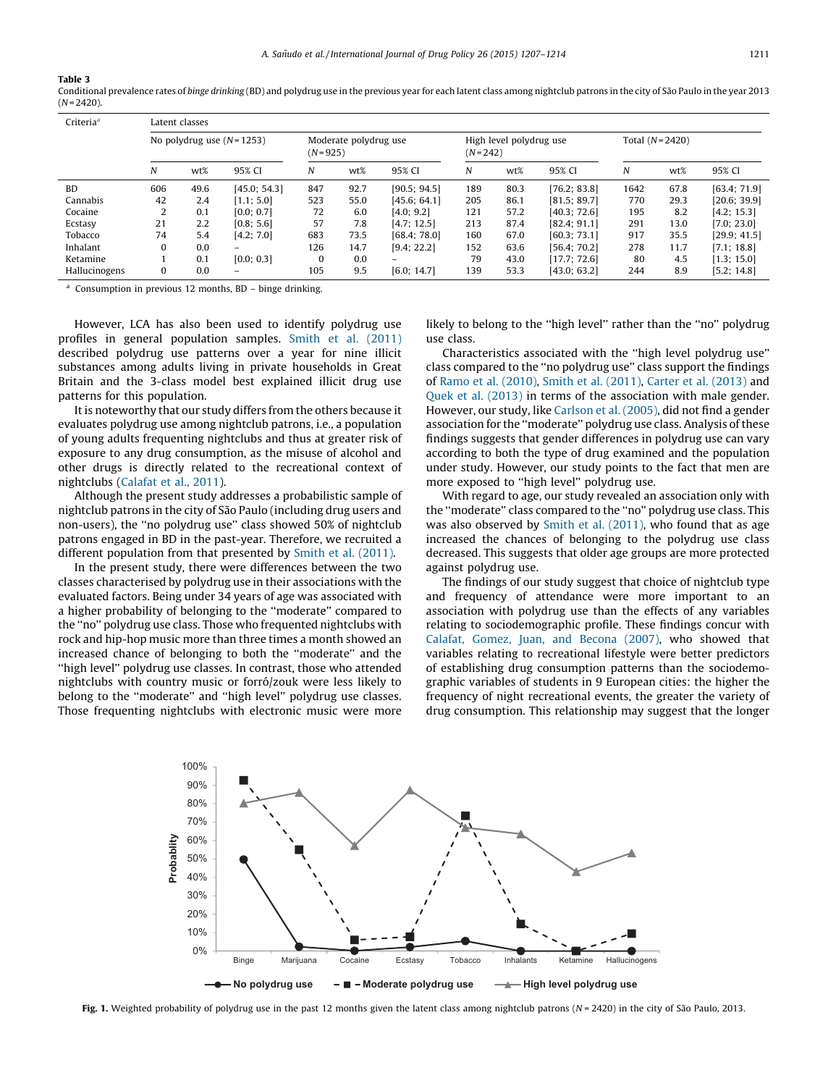#### <span id="page-4-0"></span>Table 3

Conditional prevalence rates of binge drinking (BD) and polydrug use in the previous year for each latent class among nightclub patrons in the city of São Paulo in the year 2013  $(N = 2420)$ 

| Criteria <sup>a</sup> | Latent classes             |      |              |                                      |      |                   |                                      |      |              |                    |      |              |  |  |
|-----------------------|----------------------------|------|--------------|--------------------------------------|------|-------------------|--------------------------------------|------|--------------|--------------------|------|--------------|--|--|
|                       | No polydrug use $(N=1253)$ |      |              | Moderate polydrug use<br>$(N = 925)$ |      |                   | High level polydrug use<br>$(N=242)$ |      |              | Total $(N = 2420)$ |      |              |  |  |
|                       | Ν                          | wt%  | 95% CI       | Ν                                    | wt%  | 95% CI            | Ν                                    | wt%  | 95% CI       | N                  | wt%  | 95% CI       |  |  |
| <b>BD</b>             | 606                        | 49.6 | [45.0; 54.3] | 847                                  | 92.7 | [90.5; 94.5]      | 189                                  | 80.3 | [76.2; 83.8] | 1642               | 67.8 | [63.4; 71.9] |  |  |
| Cannabis              | 42                         | 2.4  | [1.1; 5.0]   | 523                                  | 55.0 | [45.6; 64.1]      | 205                                  | 86.1 | [81.5; 89.7] | 770                | 29.3 | [20.6; 39.9] |  |  |
| Cocaine               |                            | 0.1  | [0.0; 0.7]   | 72                                   | 6.0  | [4.0; 9.2]        | 121                                  | 57.2 | [40.3; 72.6] | 195                | 8.2  | [4.2; 15.3]  |  |  |
| Ecstasy               | 21                         | 2.2  | [0.8; 5.6]   | 57                                   | 7.8  | [4.7: 12.5]       | 213                                  | 87.4 | [82.4:91.1]  | 291                | 13.0 | [7.0; 23.0]  |  |  |
| Tobacco               | 74                         | 5.4  | [4.2; 7.0]   | 683                                  | 73.5 | [68.4:78.0]       | 160                                  | 67.0 | [60.3:73.1]  | 917                | 35.5 | [29.9; 41.5] |  |  |
| Inhalant              | $\Omega$                   | 0.0  |              | 126                                  | 14.7 | [9.4; 22.2]       | 152                                  | 63.6 | [56.4; 70.2] | 278                | 11.7 | [7.1; 18.8]  |  |  |
| Ketamine              |                            | 0.1  | [0.0; 0.3]   | $\Omega$                             | 0.0  | $\qquad \qquad -$ | 79                                   | 43.0 | [17.7: 72.6] | 80                 | 4.5  | [1.3; 15.0]  |  |  |
| Hallucinogens         | $\Omega$                   | 0.0  | $-$          | 105                                  | 9.5  | [6.0; 14.7]       | 139                                  | 53.3 | [43.0; 63.2] | 244                | 8.9  | [5.2; 14.8]  |  |  |

<sup>a</sup> Consumption in previous 12 months, BD – binge drinking.

However, LCA has also been used to identify polydrug use profiles in general population samples. Smith et al. [\(2011\)](#page-7-0) described polydrug use patterns over a year for nine illicit substances among adults living in private households in Great Britain and the 3-class model best explained illicit drug use patterns for this population.

It is noteworthy that our study differs from the others because it evaluates polydrug use among nightclub patrons, i.e., a population of young adults frequenting nightclubs and thus at greater risk of exposure to any drug consumption, as the misuse of alcohol and other drugs is directly related to the recreational context of nightclubs [\(Calafat](#page-6-0) et al., 2011).

Although the present study addresses a probabilistic sample of nightclub patrons in the city of São Paulo (including drug users and non-users), the ''no polydrug use'' class showed 50% of nightclub patrons engaged in BD in the past-year. Therefore, we recruited a different population from that presented by Smith et al. [\(2011\)](#page-7-0).

In the present study, there were differences between the two classes characterised by polydrug use in their associations with the evaluated factors. Being under 34 years of age was associated with a higher probability of belonging to the ''moderate'' compared to the ''no'' polydrug use class. Those who frequented nightclubs with rock and hip-hop music more than three times a month showed an increased chance of belonging to both the ''moderate'' and the ''high level'' polydrug use classes. In contrast, those who attended nightclubs with country music or forró/zouk were less likely to belong to the ''moderate'' and ''high level'' polydrug use classes. Those frequenting nightclubs with electronic music were more likely to belong to the ''high level'' rather than the ''no'' polydrug use class.

Characteristics associated with the ''high level polydrug use'' class compared to the ''no polydrug use'' class support the findings of Ramo et al. [\(2010\)](#page-7-0), Smith et al. [\(2011\),](#page-7-0) Carter et al. [\(2013\)](#page-6-0) and Quek et al. [\(2013\)](#page-7-0) in terms of the association with male gender. However, our study, like [Carlson](#page-6-0) et al. (2005), did not find a gender association for the "moderate" polydrug use class. Analysis of these findings suggests that gender differences in polydrug use can vary according to both the type of drug examined and the population under study. However, our study points to the fact that men are more exposed to ''high level'' polydrug use.

With regard to age, our study revealed an association only with the ''moderate'' class compared to the ''no'' polydrug use class. This was also observed by Smith et al. [\(2011\)](#page-7-0), who found that as age increased the chances of belonging to the polydrug use class decreased. This suggests that older age groups are more protected against polydrug use.

The findings of our study suggest that choice of nightclub type and frequency of attendance were more important to an association with polydrug use than the effects of any variables relating to sociodemographic profile. These findings concur with Calafat, [Gomez,](#page-6-0) Juan, and Becona (2007), who showed that variables relating to recreational lifestyle were better predictors of establishing drug consumption patterns than the sociodemographic variables of students in 9 European cities: the higher the frequency of night recreational events, the greater the variety of drug consumption. This relationship may suggest that the longer



Fig. 1. Weighted probability of polydrug use in the past 12 months given the latent class among nightclub patrons  $(N = 2420)$  in the city of São Paulo, 2013.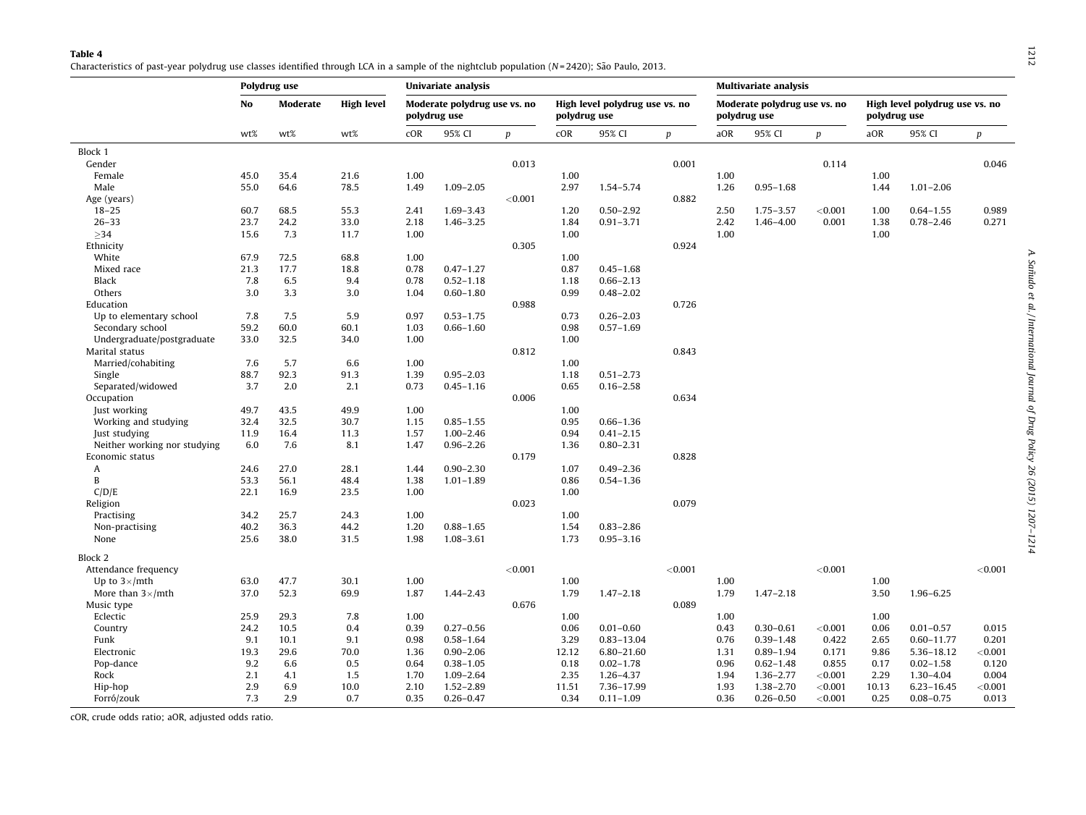# <span id="page-5-0"></span>Table 4

Characteristics of past-year polydrug use classes identified through LCA in a sample of the nightclub population  $(N=2420)$ ; São Paulo, 2013.

|                              | Polydrug use   |      |                   | Univariate analysis |                                              |                  |              |                                |                  | <b>Multivariate analysis</b> |                                              |                  |              |                                |                 |
|------------------------------|----------------|------|-------------------|---------------------|----------------------------------------------|------------------|--------------|--------------------------------|------------------|------------------------------|----------------------------------------------|------------------|--------------|--------------------------------|-----------------|
|                              | No<br>Moderate |      | <b>High level</b> |                     | Moderate polydrug use vs. no<br>polydrug use |                  | polydrug use | High level polydrug use vs. no |                  |                              | Moderate polydrug use vs. no<br>polydrug use |                  | polydrug use | High level polydrug use vs. no |                 |
|                              | wt%            | wt%  | wt%               | COR                 | 95% CI                                       | $\boldsymbol{p}$ | COR          | 95% CI                         | $\boldsymbol{p}$ | aOR                          | 95% CI                                       | $\boldsymbol{p}$ | aOR          | 95% CI                         | $p_{\parallel}$ |
| Block 1                      |                |      |                   |                     |                                              |                  |              |                                |                  |                              |                                              |                  |              |                                |                 |
| Gender                       |                |      |                   |                     |                                              | 0.013            |              |                                | 0.001            |                              |                                              | 0.114            |              |                                | 0.046           |
| Female                       | 45.0           | 35.4 | 21.6              | 1.00                |                                              |                  | 1.00         |                                |                  | 1.00                         |                                              |                  | 1.00         |                                |                 |
| Male                         | 55.0           | 64.6 | 78.5              | 1.49                | $1.09 - 2.05$                                |                  | 2.97         | 1.54-5.74                      |                  | 1.26                         | $0.95 - 1.68$                                |                  | 1.44         | $1.01 - 2.06$                  |                 |
| Age (years)                  |                |      |                   |                     |                                              | < 0.001          |              |                                | 0.882            |                              |                                              |                  |              |                                |                 |
| $18 - 25$                    | 60.7           | 68.5 | 55.3              | 2.41                | $1.69 - 3.43$                                |                  | 1.20         | $0.50 - 2.92$                  |                  | 2.50                         | $1.75 - 3.57$                                | < 0.001          | 1.00         | $0.64 - 1.55$                  | 0.989           |
| $26 - 33$                    | 23.7           | 24.2 | 33.0              | 2.18                | $1.46 - 3.25$                                |                  | 1.84         | $0.91 - 3.71$                  |                  | 2.42                         | $1.46 - 4.00$                                | 0.001            | 1.38         | $0.78 - 2.46$                  | 0.271           |
| $\geq$ 34                    | 15.6           | 7.3  | 11.7              | 1.00                |                                              |                  | 1.00         |                                |                  | 1.00                         |                                              |                  | 1.00         |                                |                 |
| Ethnicity                    |                |      |                   |                     |                                              | 0.305            |              |                                | 0.924            |                              |                                              |                  |              |                                |                 |
| White                        | 67.9           | 72.5 | 68.8              | 1.00                |                                              |                  | 1.00         |                                |                  |                              |                                              |                  |              |                                |                 |
| Mixed race                   | 21.3           | 17.7 | 18.8              | 0.78                | $0.47 - 1.27$                                |                  | 0.87         | $0.45 - 1.68$                  |                  |                              |                                              |                  |              |                                |                 |
| Black                        | 7.8            | 6.5  | 9.4               | 0.78                | $0.52 - 1.18$                                |                  | 1.18         | $0.66 - 2.13$                  |                  |                              |                                              |                  |              |                                |                 |
| Others                       | 3.0            | 3.3  | 3.0               | 1.04                | $0.60 - 1.80$                                |                  | 0.99         | $0.48 - 2.02$                  |                  |                              |                                              |                  |              |                                |                 |
| Education                    |                |      |                   |                     |                                              | 0.988            |              |                                | 0.726            |                              |                                              |                  |              |                                |                 |
| Up to elementary school      | 7.8            | 7.5  | 5.9               | 0.97                | $0.53 - 1.75$                                |                  | 0.73         | $0.26 - 2.03$                  |                  |                              |                                              |                  |              |                                |                 |
| Secondary school             | 59.2           | 60.0 | 60.1              | 1.03                | $0.66 - 1.60$                                |                  | 0.98         | $0.57 - 1.69$                  |                  |                              |                                              |                  |              |                                |                 |
| Undergraduate/postgraduate   | 33.0           | 32.5 | 34.0              | 1.00                |                                              |                  | 1.00         |                                |                  |                              |                                              |                  |              |                                |                 |
| Marital status               |                |      |                   |                     |                                              | 0.812            |              |                                | 0.843            |                              |                                              |                  |              |                                |                 |
| Married/cohabiting           | 7.6            | 5.7  | 6.6               | 1.00                |                                              |                  | 1.00         |                                |                  |                              |                                              |                  |              |                                |                 |
| Single                       | 88.7           | 92.3 | 91.3              | 1.39                | $0.95 - 2.03$                                |                  | 1.18         | $0.51 - 2.73$                  |                  |                              |                                              |                  |              |                                |                 |
| Separated/widowed            | 3.7            | 2.0  | 2.1               | 0.73                | $0.45 - 1.16$                                |                  | 0.65         | $0.16 - 2.58$                  |                  |                              |                                              |                  |              |                                |                 |
| Occupation                   |                |      |                   |                     |                                              | 0.006            |              |                                | 0.634            |                              |                                              |                  |              |                                |                 |
| Just working                 | 49.7           | 43.5 | 49.9              | 1.00                |                                              |                  | 1.00         |                                |                  |                              |                                              |                  |              |                                |                 |
| Working and studying         | 32.4           | 32.5 | 30.7              | 1.15                | $0.85 - 1.55$                                |                  | 0.95         | $0.66 - 1.36$                  |                  |                              |                                              |                  |              |                                |                 |
| Just studying                | 11.9           | 16.4 | 11.3              | 1.57                | $1.00 - 2.46$                                |                  | 0.94         | $0.41 - 2.15$                  |                  |                              |                                              |                  |              |                                |                 |
| Neither working nor studying | 6.0            | 7.6  | 8.1               | 1.47                | $0.96 - 2.26$                                |                  | 1.36         | $0.80 - 2.31$                  |                  |                              |                                              |                  |              |                                |                 |
| Economic status              |                |      |                   |                     |                                              | 0.179            |              |                                | 0.828            |                              |                                              |                  |              |                                |                 |
| A                            | 24.6           | 27.0 | 28.1              | 1.44                | $0.90 - 2.30$                                |                  | 1.07         | $0.49 - 2.36$                  |                  |                              |                                              |                  |              |                                |                 |
| $\mathbf{B}$                 | 53.3           | 56.1 | 48.4              | 1.38                | $1.01 - 1.89$                                |                  | 0.86         | $0.54 - 1.36$                  |                  |                              |                                              |                  |              |                                |                 |
| C/D/E                        | 22.1           | 16.9 | 23.5              | 1.00                |                                              |                  | 1.00         |                                |                  |                              |                                              |                  |              |                                |                 |
| Religion                     |                |      |                   |                     |                                              | 0.023            |              |                                | 0.079            |                              |                                              |                  |              |                                |                 |
|                              | 34.2           | 25.7 | 24.3              | 1.00                |                                              |                  | 1.00         |                                |                  |                              |                                              |                  |              |                                |                 |
| Practising                   |                | 36.3 |                   |                     | $0.88 - 1.65$                                |                  |              |                                |                  |                              |                                              |                  |              |                                |                 |
| Non-practising               | 40.2           | 38.0 | 44.2              | 1.20                |                                              |                  | 1.54         | $0.83 - 2.86$                  |                  |                              |                                              |                  |              |                                |                 |
| None                         | 25.6           |      | 31.5              | 1.98                | $1.08 - 3.61$                                |                  | 1.73         | $0.95 - 3.16$                  |                  |                              |                                              |                  |              |                                |                 |
| Block 2                      |                |      |                   |                     |                                              |                  |              |                                |                  |                              |                                              |                  |              |                                |                 |
| Attendance frequency         |                |      |                   |                     |                                              | < 0.001          |              |                                | < 0.001          |                              |                                              | < 0.001          |              |                                | < 0.001         |
| Up to $3\times$ /mth         | 63.0           | 47.7 | 30.1              | 1.00                |                                              |                  | 1.00         |                                |                  | 1.00                         |                                              |                  | 1.00         |                                |                 |
| More than $3\times$ /mth     | 37.0           | 52.3 | 69.9              | 1.87                | $1.44 - 2.43$                                |                  | 1.79         | $1.47 - 2.18$                  |                  | 1.79                         | $1.47 - 2.18$                                |                  | 3.50         | 1.96-6.25                      |                 |
| Music type                   |                |      |                   |                     |                                              | 0.676            |              |                                | 0.089            |                              |                                              |                  |              |                                |                 |
| Eclectic                     | 25.9           | 29.3 | 7.8               | 1.00                |                                              |                  | 1.00         |                                |                  | 1.00                         |                                              |                  | 1.00         |                                |                 |
| Country                      | 24.2           | 10.5 | 0.4               | 0.39                | $0.27 - 0.56$                                |                  | 0.06         | $0.01 - 0.60$                  |                  | 0.43                         | $0.30 - 0.61$                                | ${<}0.001$       | 0.06         | $0.01 - 0.57$                  | 0.015           |
| Funk                         | 9.1            | 10.1 | 9.1               | 0.98                | $0.58 - 1.64$                                |                  | 3.29         | $0.83 - 13.04$                 |                  | 0.76                         | $0.39 - 1.48$                                | 0.422            | 2.65         | $0.60 - 11.77$                 | 0.201           |
| Electronic                   | 19.3           | 29.6 | 70.0              | 1.36                | $0.90 - 2.06$                                |                  | 12.12        | 6.80-21.60                     |                  | 1.31                         | $0.89 - 1.94$                                | 0.171            | 9.86         | 5.36-18.12                     | < 0.001         |
| Pop-dance                    | 9.2            | 6.6  | 0.5               | 0.64                | $0.38 - 1.05$                                |                  | 0.18         | $0.02 - 1.78$                  |                  | 0.96                         | $0.62 - 1.48$                                | 0.855            | 0.17         | $0.02 - 1.58$                  | 0.120           |
| Rock                         | 2.1            | 4.1  | 1.5               | 1.70                | 1.09-2.64                                    |                  | 2.35         | 1.26-4.37                      |                  | 1.94                         | $1.36 - 2.77$                                | < 0.001          | 2.29         | 1.30-4.04                      | 0.004           |
| Hip-hop                      | 2.9            | 6.9  | 10.0              | 2.10                | $1.52 - 2.89$                                |                  | 11.51        | 7.36-17.99                     |                  | 1.93                         | $1.38 - 2.70$                                | < 0.001          | 10.13        | $6.23 - 16.45$                 | < 0.001         |
| Forró/zouk                   | 7.3            | 2.9  | 0.7               | 0.35                | $0.26 - 0.47$                                |                  | 0.34         | $0.11 - 1.09$                  |                  | 0.36                         | $0.26 - 0.50$                                | < 0.001          | 0.25         | $0.08 - 0.75$                  | 0.013           |
|                              |                |      |                   |                     |                                              |                  |              |                                |                  |                              |                                              |                  |              |                                |                 |

cOR, crude odds ratio; aOR, adjusted odds ratio.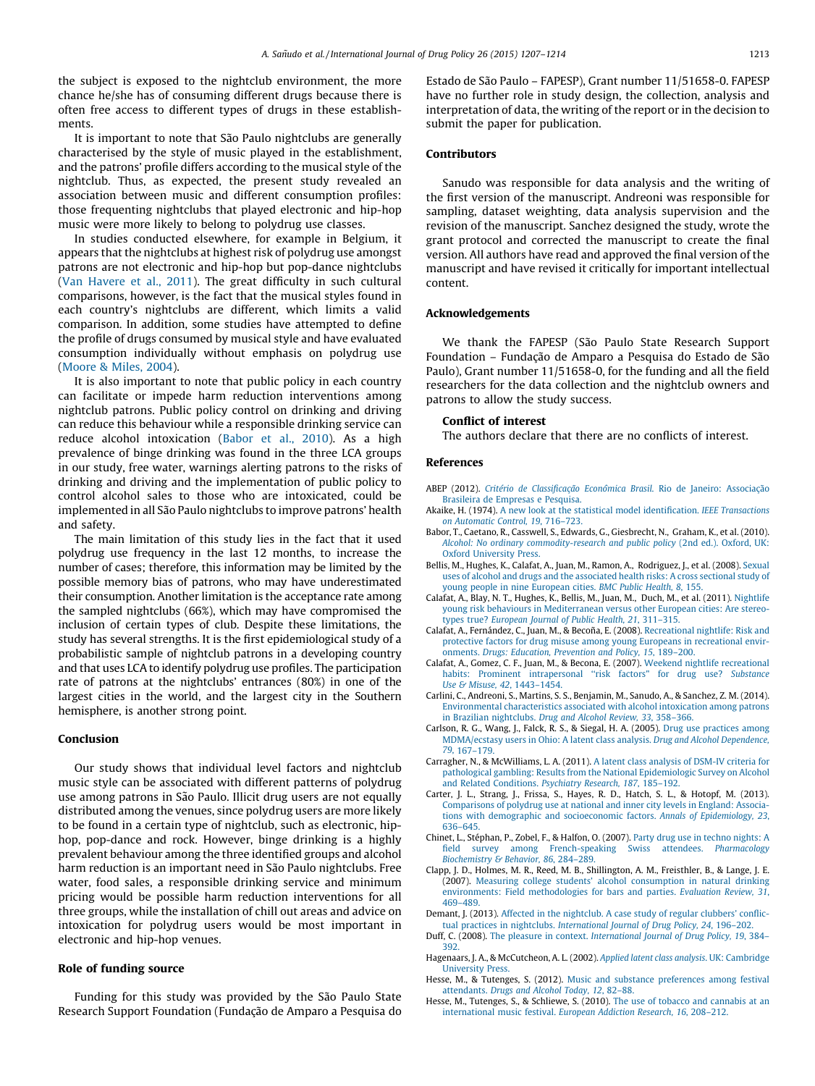<span id="page-6-0"></span>the subject is exposed to the nightclub environment, the more chance he/she has of consuming different drugs because there is often free access to different types of drugs in these establishments.

It is important to note that São Paulo nightclubs are generally characterised by the style of music played in the establishment, and the patrons' profile differs according to the musical style of the nightclub. Thus, as expected, the present study revealed an association between music and different consumption profiles: those frequenting nightclubs that played electronic and hip-hop music were more likely to belong to polydrug use classes.

In studies conducted elsewhere, for example in Belgium, it appears that the nightclubs at highest risk of polydrug use amongst patrons are not electronic and hip-hop but pop-dance nightclubs (Van [Havere](#page-7-0) et al., 2011). The great difficulty in such cultural comparisons, however, is the fact that the musical styles found in each country's nightclubs are different, which limits a valid comparison. In addition, some studies have attempted to define the profile of drugs consumed by musical style and have evaluated consumption individually without emphasis on polydrug use ([Moore](#page-7-0) & Miles, 2004).

It is also important to note that public policy in each country can facilitate or impede harm reduction interventions among nightclub patrons. Public policy control on drinking and driving can reduce this behaviour while a responsible drinking service can reduce alcohol intoxication (Babor et al., 2010). As a high prevalence of binge drinking was found in the three LCA groups in our study, free water, warnings alerting patrons to the risks of drinking and driving and the implementation of public policy to control alcohol sales to those who are intoxicated, could be implemented in all São Paulo nightclubs to improve patrons' health and safety.

The main limitation of this study lies in the fact that it used polydrug use frequency in the last 12 months, to increase the number of cases; therefore, this information may be limited by the possible memory bias of patrons, who may have underestimated their consumption. Another limitation is the acceptance rate among the sampled nightclubs (66%), which may have compromised the inclusion of certain types of club. Despite these limitations, the study has several strengths. It is the first epidemiological study of a probabilistic sample of nightclub patrons in a developing country and that uses LCA to identify polydrug use profiles. The participation rate of patrons at the nightclubs' entrances (80%) in one of the largest cities in the world, and the largest city in the Southern hemisphere, is another strong point.

# Conclusion

Our study shows that individual level factors and nightclub music style can be associated with different patterns of polydrug use among patrons in São Paulo. Illicit drug users are not equally distributed among the venues, since polydrug users are more likely to be found in a certain type of nightclub, such as electronic, hiphop, pop-dance and rock. However, binge drinking is a highly prevalent behaviour among the three identified groups and alcohol harm reduction is an important need in São Paulo nightclubs. Free water, food sales, a responsible drinking service and minimum pricing would be possible harm reduction interventions for all three groups, while the installation of chill out areas and advice on intoxication for polydrug users would be most important in electronic and hip-hop venues.

# Role of funding source

Funding for this study was provided by the São Paulo State Research Support Foundation (Fundação de Amparo a Pesquisa do Estado de São Paulo - FAPESP), Grant number 11/51658-0. FAPESP have no further role in study design, the collection, analysis and interpretation of data, the writing of the report or in the decision to submit the paper for publication.

#### Contributors

Sanudo was responsible for data analysis and the writing of the first version of the manuscript. Andreoni was responsible for sampling, dataset weighting, data analysis supervision and the revision of the manuscript. Sanchez designed the study, wrote the grant protocol and corrected the manuscript to create the final version. All authors have read and approved the final version of the manuscript and have revised it critically for important intellectual content.

#### Acknowledgements

We thank the FAPESP (São Paulo State Research Support Foundation – Fundação de Amparo a Pesquisa do Estado de São Paulo), Grant number 11/51658-0, for the funding and all the field researchers for the data collection and the nightclub owners and patrons to allow the study success.

# Conflict of interest

The authors declare that there are no conflicts of interest.

#### References

- ABEP (2012). Critério de Classificação Econômica Brasil. Rio de Janeiro: Associação Brasileira de [Empresas](http://refhub.elsevier.com/S0955-3959(15)00213-3/sbref0005) e Pesquisa.
- Akaike, H. (1974). A new look at the statistical model [identification.](http://refhub.elsevier.com/S0955-3959(15)00213-3/sbref0010) IEEE Transactions on [Automatic](http://refhub.elsevier.com/S0955-3959(15)00213-3/sbref0010) Control, 19, 716–723.
- Babor, T., Caetano, R., Casswell, S., Edwards, G., Giesbrecht, N., Graham, K., et al. (2010). Alcohol: No ordinary [commodity-research](http://refhub.elsevier.com/S0955-3959(15)00213-3/sbref0015) and public policy (2nd ed.). Oxford, UK: Oxford [University](http://refhub.elsevier.com/S0955-3959(15)00213-3/sbref0015) Press.
- Bellis, M., Hughes, K., Calafat, A., Juan, M., Ramon, A., Rodriguez, J., et al. (2008). [Sexual](http://refhub.elsevier.com/S0955-3959(15)00213-3/sbref0020) uses of alcohol and drugs and the [associated](http://refhub.elsevier.com/S0955-3959(15)00213-3/sbref0020) health risks: A cross sectional study of young people in nine [European](http://refhub.elsevier.com/S0955-3959(15)00213-3/sbref0020) cities. BMC Public Health, 8, 155.
- Calafat, A., Blay, N. T., Hughes, K., Bellis, M., Juan, M., Duch, M., et al. (2011). [Nightlife](http://refhub.elsevier.com/S0955-3959(15)00213-3/sbref0025) young risk behaviours in [Mediterranean](http://refhub.elsevier.com/S0955-3959(15)00213-3/sbref0025) versus other European cities: Are stereotypes true? [European](http://refhub.elsevier.com/S0955-3959(15)00213-3/sbref0025) Journal of Public Health, 21, 311–315.
- Calafat, A., Fernández, C., Juan, M., & Becoña, E. (2008). [Recreational](http://refhub.elsevier.com/S0955-3959(15)00213-3/sbref0030) nightlife: Risk and protective factors for drug misuse among young Europeans in [recreational](http://refhub.elsevier.com/S0955-3959(15)00213-3/sbref0030) environments. Drugs: Education, [Prevention](http://refhub.elsevier.com/S0955-3959(15)00213-3/sbref0030) and Policy, 15, 189–200.
- Calafat, A., Gomez, C. F., Juan, M., & Becona, E. (2007). Weekend nightlife [recreational](http://refhub.elsevier.com/S0955-3959(15)00213-3/sbref0035) habits: Prominent [intrapersonal](http://refhub.elsevier.com/S0955-3959(15)00213-3/sbref0035) "risk factors" for drug use? Substance Use & Misuse, 42, [1443–1454.](http://refhub.elsevier.com/S0955-3959(15)00213-3/sbref0035)
- Carlini, C., Andreoni, S., Martins, S. S., Benjamin, M., Sanudo, A., & Sanchez, Z. M. (2014). [Environmental](http://refhub.elsevier.com/S0955-3959(15)00213-3/sbref0040) characteristics associated with alcohol intoxication among patrons in Brazilian [nightclubs.](http://refhub.elsevier.com/S0955-3959(15)00213-3/sbref0040) Drug and Alcohol Review, 33, 358–366.
- Carlson, R. G., Wang, J., Falck, R. S., & Siegal, H. A. (2005). Drug use [practices](http://refhub.elsevier.com/S0955-3959(15)00213-3/sbref0045) among [MDMA/ecstasy](http://refhub.elsevier.com/S0955-3959(15)00213-3/sbref0045) users in Ohio: A latent class analysis. Drug and Alcohol Dependence, 79, [167–179](http://refhub.elsevier.com/S0955-3959(15)00213-3/sbref0045).
- Carragher, N., & McWilliams, L. A. (2011). A latent class [analysis](http://refhub.elsevier.com/S0955-3959(15)00213-3/sbref0050) of DSM-IV criteria for pathological gambling: Results from the National [Epidemiologic](http://refhub.elsevier.com/S0955-3959(15)00213-3/sbref0050) Survey on Alcohol and Related [Conditions.](http://refhub.elsevier.com/S0955-3959(15)00213-3/sbref0050) Psychiatry Research, 187, 185–192.
- Carter, J. L., Strang, J., Frissa, S., Hayes, R. D., Hatch, S. L., & Hotopf, M. (2013). [Comparisons](http://refhub.elsevier.com/S0955-3959(15)00213-3/sbref0055) of polydrug use at national and inner city levels in England: Associations with demographic and [socioeconomic](http://refhub.elsevier.com/S0955-3959(15)00213-3/sbref0055) factors. Annals of Epidemiology, 23, [636–645.](http://refhub.elsevier.com/S0955-3959(15)00213-3/sbref0055)
- Chinet, L., Stéphan, P., Zobel, F., & Halfon, O. (2007). Party drug use in techno [nights:](http://refhub.elsevier.com/S0955-3959(15)00213-3/sbref0060) A field survey among French-speaking Swiss attendees. Pharmacology field survey among [French-speaking](http://refhub.elsevier.com/S0955-3959(15)00213-3/sbref0060) Swiss attendees. Pharmacology<br>[Biochemistry](http://refhub.elsevier.com/S0955-3959(15)00213-3/sbref0060) & Behavior, 86, 284–289.
- Clapp, J. D., Holmes, M. R., Reed, M. B., Shillington, A. M., Freisthler, B., & Lange, J. E. (2007). Measuring college students' alcohol [consumption](http://refhub.elsevier.com/S0955-3959(15)00213-3/sbref0065) in natural drinking environments: Field [methodologies](http://refhub.elsevier.com/S0955-3959(15)00213-3/sbref0065) for bars and parties. Evaluation Review, 31, [469–489.](http://refhub.elsevier.com/S0955-3959(15)00213-3/sbref0065)
- Demant, J. (2013). Affected in the [nightclub.](http://refhub.elsevier.com/S0955-3959(15)00213-3/sbref0070) A case study of regular clubbers' conflictual practices in nightclubs. [International](http://refhub.elsevier.com/S0955-3959(15)00213-3/sbref0070) Journal of Drug Policy, 24, 196–202.
- Duff, C. (2008). The pleasure in context. [International](http://refhub.elsevier.com/S0955-3959(15)00213-3/sbref0075) Journal of Drug Policy, 19, 384– [392.](http://refhub.elsevier.com/S0955-3959(15)00213-3/sbref0075)
- Hagenaars, J. A., & McCutcheon, A. L. (2002). Applied latent class analysis. UK: [Cambridge](http://refhub.elsevier.com/S0955-3959(15)00213-3/sbref0205) [University](http://refhub.elsevier.com/S0955-3959(15)00213-3/sbref0205) Press.
- Hesse, M., & Tutenges, S. (2012). Music and substance [preferences](http://refhub.elsevier.com/S0955-3959(15)00213-3/sbref0080) among festival [attendants.](http://refhub.elsevier.com/S0955-3959(15)00213-3/sbref0080) Drugs and Alcohol Today, 12, 82–88.
- Hesse, M., Tutenges, S., & Schliewe, S. (2010). The use of tobacco and [cannabis](http://refhub.elsevier.com/S0955-3959(15)00213-3/sbref0085) at an [international](http://refhub.elsevier.com/S0955-3959(15)00213-3/sbref0085) music festival. European Addiction Research, 16, 208–212.